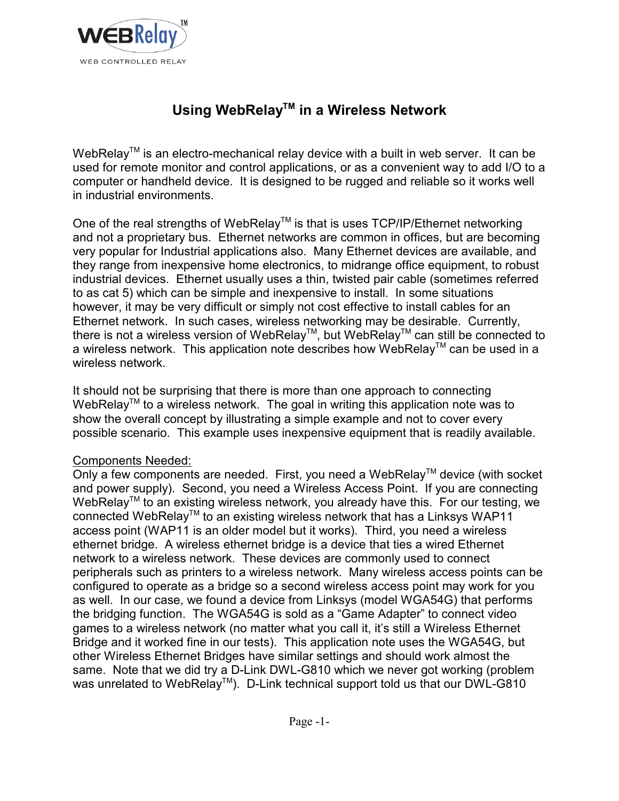

# **Using WebRelayTM in a Wireless Network**

WebRelay<sup>TM</sup> is an electro-mechanical relay device with a built in web server. It can be used for remote monitor and control applications, or as a convenient way to add I/O to a computer or handheld device. It is designed to be rugged and reliable so it works well in industrial environments.

One of the real strengths of WebRelay<sup>TM</sup> is that is uses TCP/IP/Ethernet networking and not a proprietary bus. Ethernet networks are common in offices, but are becoming very popular for Industrial applications also. Many Ethernet devices are available, and they range from inexpensive home electronics, to midrange office equipment, to robust industrial devices. Ethernet usually uses a thin, twisted pair cable (sometimes referred to as cat 5) which can be simple and inexpensive to install. In some situations however, it may be very difficult or simply not cost effective to install cables for an Ethernet network. In such cases, wireless networking may be desirable. Currently, there is not a wireless version of WebRelay™, but WebRelay™ can still be connected to a wireless network. This application note describes how WebRelay™ can be used in a wireless network.

It should not be surprising that there is more than one approach to connecting WebRelay<sup>TM</sup> to a wireless network. The goal in writing this application note was to show the overall concept by illustrating a simple example and not to cover every possible scenario. This example uses inexpensive equipment that is readily available.

## Components Needed:

Only a few components are needed. First, you need a WebRelay<sup>TM</sup> device (with socket and power supply). Second, you need a Wireless Access Point. If you are connecting WebRelay<sup>™</sup> to an existing wireless network, you already have this. For our testing, we connected WebRelay<sup>TM</sup> to an existing wireless network that has a Linksys WAP11 access point (WAP11 is an older model but it works). Third, you need a wireless ethernet bridge. A wireless ethernet bridge is a device that ties a wired Ethernet network to a wireless network. These devices are commonly used to connect peripherals such as printers to a wireless network. Many wireless access points can be configured to operate as a bridge so a second wireless access point may work for you as well. In our case, we found a device from Linksys (model WGA54G) that performs the bridging function. The WGA54G is sold as a "Game Adapter" to connect video games to a wireless network (no matter what you call it, it's still a Wireless Ethernet Bridge and it worked fine in our tests). This application note uses the WGA54G, but other Wireless Ethernet Bridges have similar settings and should work almost the same. Note that we did try a D-Link DWL-G810 which we never got working (problem was unrelated to WebRelay<sup>TM</sup>). D-Link technical support told us that our DWL-G810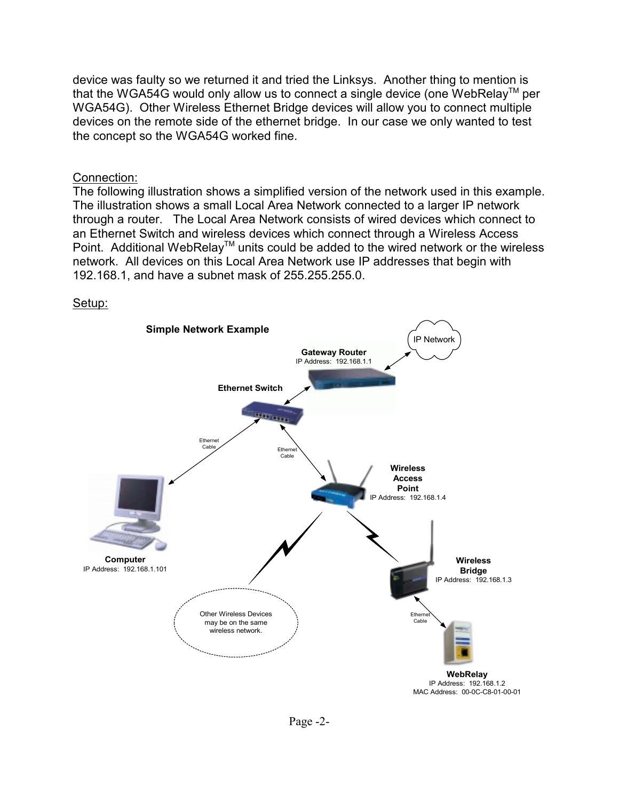device was faulty so we returned it and tried the Linksys. Another thing to mention is that the WGA54G would only allow us to connect a single device (one WebRelay<sup>TM</sup> per WGA54G). Other Wireless Ethernet Bridge devices will allow you to connect multiple devices on the remote side of the ethernet bridge. In our case we only wanted to test the concept so the WGA54G worked fine.

#### Connection:

The following illustration shows a simplified version of the network used in this example. The illustration shows a small Local Area Network connected to a larger IP network through a router. The Local Area Network consists of wired devices which connect to an Ethernet Switch and wireless devices which connect through a Wireless Access Point. Additional WebRelay™ units could be added to the wired network or the wireless network. All devices on this Local Area Network use IP addresses that begin with 192.168.1, and have a subnet mask of 255.255.255.0.



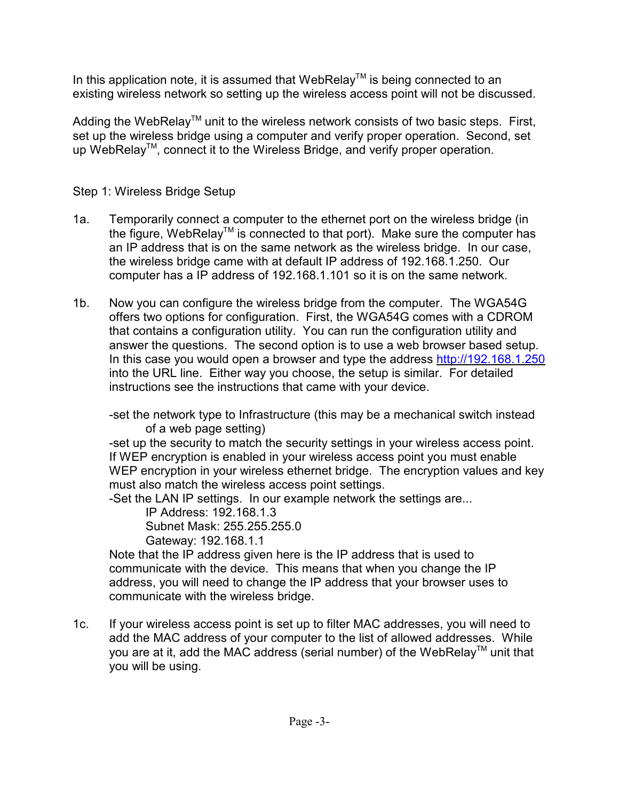In this application note, it is assumed that WebRelay<sup>TM</sup> is being connected to an existing wireless network so setting up the wireless access point will not be discussed.

Adding the WebRelay<sup>™</sup> unit to the wireless network consists of two basic steps. First, set up the wireless bridge using a computer and verify proper operation. Second, set up WebRelay™, connect it to the Wireless Bridge, and verify proper operation.

# Step 1: Wireless Bridge Setup

- 1a. Temporarily connect a computer to the ethernet port on the wireless bridge (in the figure, WebRelay<sup>TM</sup> is connected to that port). Make sure the computer has an IP address that is on the same network as the wireless bridge. In our case, the wireless bridge came with at default IP address of 192.168.1.250. Our computer has a IP address of 192.168.1.101 so it is on the same network.
- 1b. Now you can configure the wireless bridge from the computer. The WGA54G offers two options for configuration. First, the WGA54G comes with a CDROM that contains a configuration utility. You can run the configuration utility and answer the questions. The second option is to use a web browser based setup. In this case you would open a browser and type the address http://192.168.1.250 into the URL line. Either way you choose, the setup is similar. For detailed instructions see the instructions that came with your device.

-set the network type to Infrastructure (this may be a mechanical switch instead of a web page setting)

-set up the security to match the security settings in your wireless access point. If WEP encryption is enabled in your wireless access point you must enable WEP encryption in your wireless ethernet bridge. The encryption values and key must also match the wireless access point settings.

-Set the LAN IP settings. In our example network the settings are...

IP Address: 192.168.1.3

Subnet Mask: 255.255.255.0

Gateway: 192.168.1.1

Note that the IP address given here is the IP address that is used to communicate with the device. This means that when you change the IP address, you will need to change the IP address that your browser uses to communicate with the wireless bridge.

1c. If your wireless access point is set up to filter MAC addresses, you will need to add the MAC address of your computer to the list of allowed addresses. While you are at it, add the MAC address (serial number) of the WebRelay<sup>TM</sup> unit that you will be using.